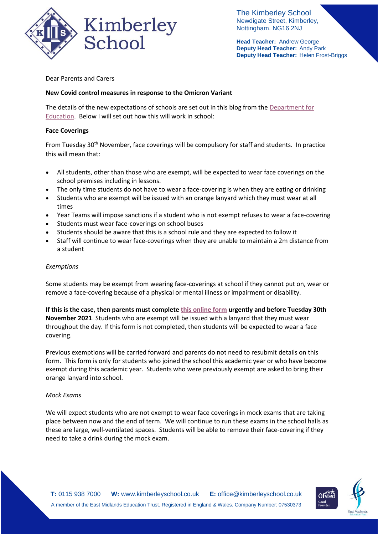

The Kimberley School Newdigate Street, Kimberley, Nottingham. NG16 2NJ

**Head Teacher:** Andrew George **Deputy Head Teacher:** Andy Park **Deputy Head Teacher:** Helen Frost-Briggs

# Dear Parents and Carers

# **New Covid control measures in response to the Omicron Variant**

The details of the new expectations of schools are set out in this blog from the Department for [Education.](https://educationhub.blog.gov.uk/2021/11/28/what-the-new-temporary-covid-19-measures-mean-for-early-year-settings-out-of-school-settings-schools-colleges-and-universities/) Below I will set out how this will work in school:

## **Face Coverings**

From Tuesday 30<sup>th</sup> November, face coverings will be compulsory for staff and students. In practice this will mean that:

- All students, other than those who are exempt, will be expected to wear face coverings on the school premises including in lessons.
- The only time students do not have to wear a face-covering is when they are eating or drinking
- Students who are exempt will be issued with an orange lanyard which they must wear at all times
- Year Teams will impose sanctions if a student who is not exempt refuses to wear a face-covering
- Students must wear face-coverings on school buses
- Students should be aware that this is a school rule and they are expected to follow it
- Staff will continue to wear face-coverings when they are unable to maintain a 2m distance from a student

## *Exemptions*

Some students may be exempt from wearing face-coverings at school if they cannot put on, wear or remove a face-covering because of a physical or mental illness or impairment or disability.

**If this is the case, then parents must complete [this online form](https://forms.office.com/Pages/ResponsePage.aspx?id=h4JaFYDSiky-6glrnTAOBmQEdvWSEThNlRxq25LyiOZUMDMxUUdFTlNIWTFaUlI0REw2REZRWlFHVS4u) urgently and before Tuesday 30th November 2021**. Students who are exempt will be issued with a lanyard that they must wear throughout the day. If this form is not completed, then students will be expected to wear a face covering.

Previous exemptions will be carried forward and parents do not need to resubmit details on this form. This form is only for students who joined the school this academic year or who have become exempt during this academic year. Students who were previously exempt are asked to bring their orange lanyard into school.

### *Mock Exams*

We will expect students who are not exempt to wear face coverings in mock exams that are taking place between now and the end of term. We will continue to run these exams in the school halls as these are large, well-ventilated spaces. Students will be able to remove their face-covering if they need to take a drink during the mock exam.